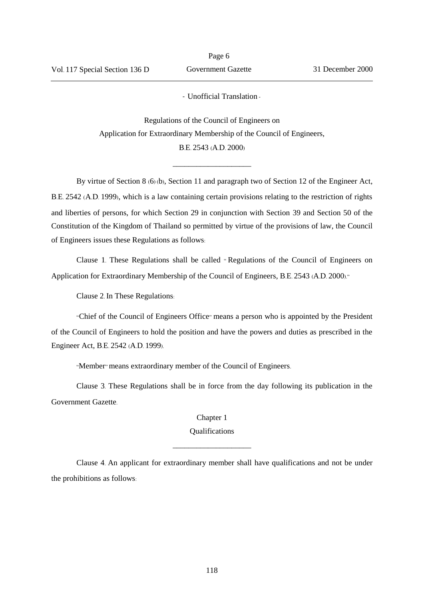- Unofficial Translation -

Regulations of the Council of Engineers on Application for Extraordinary Membership of the Council of Engineers, B.E. 2543 (A.D. 2000)

\_\_\_\_\_\_\_\_\_\_\_\_\_\_\_\_\_\_\_\_

By virtue of Section 8 (6) (b), Section 11 and paragraph two of Section 12 of the Engineer Act, B.E. 2542 (A.D. 1999), which is a law containing certain provisions relating to the restriction of rights and liberties of persons, for which Section 29 in conjunction with Section 39 and Section 50 of the Constitution of the Kingdom of Thailand so permitted by virtue of the provisions of law, the Council of Engineers issues these Regulations as follows:

Clause 1. These Regulations shall be called " Regulations of the Council of Engineers on Application for Extraordinary Membership of the Council of Engineers, B.E. 2543 (A.D. 2000)."

Clause 2. In These Regulations:

"Chief of the Council of Engineers Office" means a person who is appointed by the President of the Council of Engineers to hold the position and have the powers and duties as prescribed in the Engineer Act, B.E. 2542 (A.D. 1999).

"Member" means extraordinary member of the Council of Engineers.

Clause 3. These Regulations shall be in force from the day following its publication in the Government Gazette.

Chapter 1

## Qualifications \_\_\_\_\_\_\_\_\_\_\_\_\_\_\_\_\_\_\_\_

Clause 4. An applicant for extraordinary member shall have qualifications and not be under the prohibitions as follows: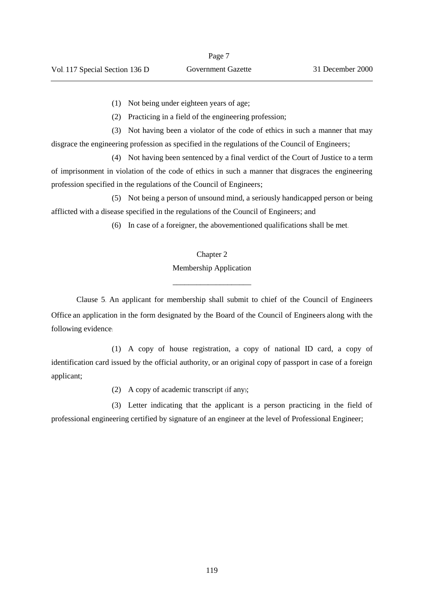(1) Not being under eighteen years of age;

(2) Practicing in a field of the engineering profession;

(3) Not having been a violator of the code of ethics in such a manner that may disgrace the engineering profession as specified in the regulations of the Council of Engineers;

(4) Not having been sentenced by a final verdict of the Court of Justice to a term of imprisonment in violation of the code of ethics in such a manner that disgraces the engineering profession specified in the regulations of the Council of Engineers;

(5) Not being a person of unsound mind, a seriously handicapped person or being afflicted with a disease specified in the regulations of the Council of Engineers; and

(6) In case of a foreigner, the abovementioned qualifications shall be met.

## Chapter 2

Membership Application \_\_\_\_\_\_\_\_\_\_\_\_\_\_\_\_\_\_\_\_

Clause 5. An applicant for membership shall submit to chief of the Council of Engineers Office an application in the form designated by the Board of the Council of Engineers along with the following evidence:

(1) A copy of house registration, a copy of national ID card, a copy of identification card issued by the official authority, or an original copy of passport in case of a foreign applicant;

(2) A copy of academic transcript (if any);

(3) Letter indicating that the applicant is a person practicing in the field of professional engineering certified by signature of an engineer at the level of Professional Engineer;